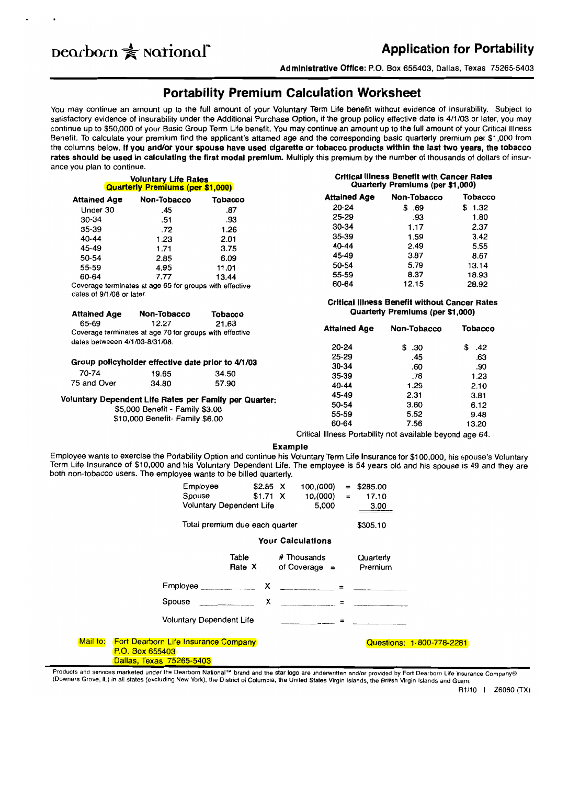# **Dearborn Application for Portability**

**Administrative Office:** P.O. Box 655403, Dallas, Texas 75265-5403

# **Portability Premium Calculation Worksheet**

You may continue an amount up to the full amount of your Voluntary Term Life benefit without evidence of insurability. Subject to satisfactory evidence of insurability under the Additional Purchase Option, if the group policy effective date is 4/1/03 or later, you may continue up to \$50,000 of your Basic Group Term Life benefit. You may continue an amount up to the full amount of your Critical Illness Benefit. To calculate your premium find the applicant's attained age and the corresponding basic quarterly premium per \$1,000 from the columns below. **If you and/or your spouse have used cigarette or tobacco products within the last two years, the tobacco rates should be used in calculating the first modal premium.** Multiply this premium by the number of thousands of dollars of insurance you plan to continue.

|                                                         | <b>Voluntary Life Rates</b><br><b>Quarterly Premiums (per \$1,000)</b> |                | <b>Critical Illness Benefit with Cancer Rates</b><br>Quarterly Premiums (per \$1,000) |                                                                                          |                |  |  |
|---------------------------------------------------------|------------------------------------------------------------------------|----------------|---------------------------------------------------------------------------------------|------------------------------------------------------------------------------------------|----------------|--|--|
| <b>Attained Age</b>                                     | Non-Tobacco                                                            | <b>Tobacco</b> | <b>Attained Age</b>                                                                   | Non-Tobacco                                                                              | <b>Tobacco</b> |  |  |
| Under 30                                                | .45                                                                    | .87            | 20-24                                                                                 | \$.69                                                                                    | \$1.32         |  |  |
| 30-34                                                   | .51                                                                    | .93            | 25-29                                                                                 | .93                                                                                      | 1.80           |  |  |
| 35-39                                                   | .72                                                                    | 1.26           | 30-34                                                                                 | 1.17                                                                                     | 2.37           |  |  |
| 40-44                                                   | 1.23                                                                   | 2.01           | 35-39                                                                                 | 1.59                                                                                     | 3.42           |  |  |
| 45-49                                                   | 1.71                                                                   | 3.75           | 40-44                                                                                 | 2.49                                                                                     | 5.55           |  |  |
| 50-54                                                   | 2.85                                                                   | 6.09           | 45-49                                                                                 | 3.87                                                                                     | 8.67           |  |  |
| 55-59                                                   | 4.95                                                                   | 11.01          | 50-54                                                                                 | 5.79                                                                                     | 13.14          |  |  |
| 60-64                                                   | 7.77                                                                   | 13.44          | 55-59                                                                                 | 8.37                                                                                     | 18.93          |  |  |
| Coverage terminates at age 65 for groups with effective |                                                                        |                | 60-64                                                                                 | 12.15                                                                                    |                |  |  |
| <b>Attained Age</b>                                     | Non-Tobacco                                                            | <b>Tobacco</b> |                                                                                       | <b>Critical Illness Benefit without Cancer Rates</b><br>Quarterly Premiums (per \$1,000) |                |  |  |
| 65-69                                                   | 12.27<br>Coverage terminates at age 70 for groups with effective       | 21.63          | <b>Attained Age</b>                                                                   | Non-Tobacco                                                                              | Tobacco        |  |  |
| dates betweeen 4/1/03-8/31/08.                          |                                                                        |                | 20-24                                                                                 | \$.30                                                                                    | \$<br>.42      |  |  |
| Group policyholder effective date prior to 4/1/03       |                                                                        |                | 25-29                                                                                 | .45                                                                                      | .63            |  |  |
|                                                         |                                                                        |                | 30-34                                                                                 | .60                                                                                      | .90            |  |  |
| 70-74                                                   | 19.65                                                                  | 34.50          | 35-39                                                                                 | .78                                                                                      | 1.23           |  |  |
| 75 and Over                                             | 34.80                                                                  | 57.90          | 40-44                                                                                 | 1.29                                                                                     | 2.10           |  |  |
| Voluntary Dependent Life Rates per Family per Quarter:  |                                                                        |                | 45-49                                                                                 | 2.31                                                                                     | 3.81           |  |  |
| \$5,000 Benefit - Family \$3.00                         |                                                                        | 50-54          | 3.60                                                                                  | 6.12                                                                                     |                |  |  |
| \$10,000 Benefit- Family \$6.00                         |                                                                        |                | 55-59                                                                                 | 5.52                                                                                     | 9.48           |  |  |
|                                                         |                                                                        |                | 60-64                                                                                 | 7.56                                                                                     | 13.20          |  |  |
|                                                         |                                                                        |                | Critical Illness Portability not available beyond age 64.                             |                                                                                          |                |  |  |

**Example** 

Employee wants to exercise the Portability Option and continue his Voluntary Term Life Insurance for \$100,000, his spouse's Voluntary Term Life Insurance of \$10,000 and his Voluntary Dependent Life. The employee is 54 years old and his spouse is 49 and they are both non-tobacco users. The employee wants to be billed quarterly.

| Employee<br>Spouse<br>Voluntary Dependent Life<br>Total premium due each quarter                       | $$2.85$ X<br>$$1.71$ X | 100,(000)<br>$=$<br>10.(000)<br>$\equiv$<br>5,000 | \$285.00<br>17.10<br>3.00<br>\$305.10 |  |  |  |  |  |
|--------------------------------------------------------------------------------------------------------|------------------------|---------------------------------------------------|---------------------------------------|--|--|--|--|--|
| <b>Your Calculations</b>                                                                               |                        |                                                   |                                       |  |  |  |  |  |
| Table<br>Rate X                                                                                        |                        | # Thousands<br>of Coverage $=$                    | Quarterly<br>Premium                  |  |  |  |  |  |
| Employee                                                                                               |                        | $X \sim 1$                                        |                                       |  |  |  |  |  |
| Spouse                                                                                                 | x                      | $=$                                               |                                       |  |  |  |  |  |
| Voluntary Dependent Life                                                                               |                        | $=$                                               |                                       |  |  |  |  |  |
| Mail to:<br><b>Fort Dearborn Life Insurance Company</b><br>P.O. Box 655403<br>Dallas, Texas 75265-5403 |                        |                                                   | Questions: 1-800-778-2281             |  |  |  |  |  |

Products and services marketed under the Dearborn National<sup>1M</sup> brand and the star logo are underwritten and/or provided by Fort Dearborn Life Insurance Company® (Downers Grove, IL) In all states (excluding New York), the District of Columbia, the United Slates Virgin Islands, the British Virgin Islands and Guam.

R1/10 I *l6060* (TX)